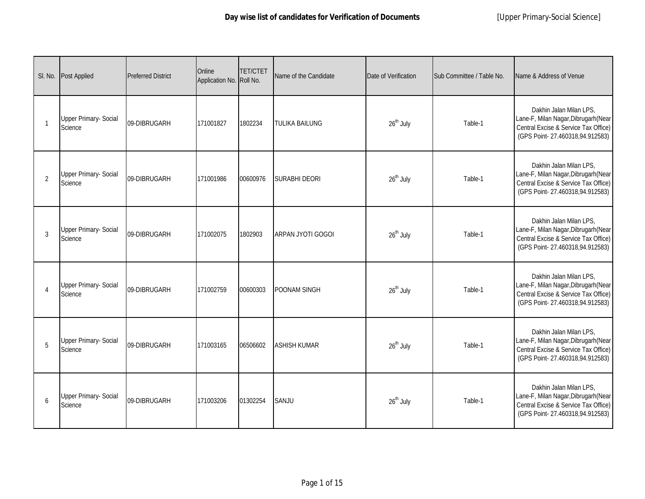|          | SI. No. Post Applied                    | <b>Preferred District</b> | Online<br>Application No. Roll No. | <b>TET/CTET</b> | Name of the Candidate    | Date of Verification  | Sub Committee / Table No. | Name & Address of Venue                                                                                                                    |
|----------|-----------------------------------------|---------------------------|------------------------------------|-----------------|--------------------------|-----------------------|---------------------------|--------------------------------------------------------------------------------------------------------------------------------------------|
|          | <b>Upper Primary- Social</b><br>Science | 09-DIBRUGARH              | 171001827                          | 1802234         | <b>TULIKA BAILUNG</b>    | 26 <sup>th</sup> July | Table-1                   | Dakhin Jalan Milan LPS,<br>Lane-F, Milan Nagar, Dibrugarh (Near<br>Central Excise & Service Tax Office)<br>(GPS Point-27.460318,94.912583) |
| 2        | <b>Upper Primary- Social</b><br>Science | 09-DIBRUGARH              | 171001986                          | 00600976        | <b>SURABHI DEORI</b>     | $26th$ July           | Table-1                   | Dakhin Jalan Milan LPS,<br>Lane-F, Milan Nagar, Dibrugarh (Near<br>Central Excise & Service Tax Office)<br>(GPS Point-27.460318,94.912583) |
| 3        | <b>Upper Primary- Social</b><br>Science | 09-DIBRUGARH              | 171002075                          | 1802903         | <b>ARPAN JYOTI GOGOI</b> | $26^{\text{th}}$ July | Table-1                   | Dakhin Jalan Milan LPS,<br>Lane-F, Milan Nagar, Dibrugarh (Near<br>Central Excise & Service Tax Office)<br>(GPS Point-27.460318,94.912583) |
| $\Delta$ | <b>Upper Primary- Social</b><br>Science | 09-DIBRUGARH              | 171002759                          | 00600303        | <b>POONAM SINGH</b>      | 26 <sup>th</sup> July | Table-1                   | Dakhin Jalan Milan LPS,<br>Lane-F, Milan Nagar, Dibrugarh (Near<br>Central Excise & Service Tax Office)<br>(GPS Point-27.460318,94.912583) |
| 5        | <b>Upper Primary- Social</b><br>Science | 09-DIBRUGARH              | 171003165                          | 06506602        | <b>ASHISH KUMAR</b>      | 26 <sup>th</sup> July | Table-1                   | Dakhin Jalan Milan LPS,<br>Lane-F, Milan Nagar, Dibrugarh (Near<br>Central Excise & Service Tax Office)<br>(GPS Point-27.460318,94.912583) |
| 6        | <b>Upper Primary- Social</b><br>Science | 09-DIBRUGARH              | 171003206                          | 01302254        | SANJU                    | $26th$ July           | Table-1                   | Dakhin Jalan Milan LPS,<br>Lane-F, Milan Nagar, Dibrugarh (Near<br>Central Excise & Service Tax Office)<br>(GPS Point-27.460318,94.912583) |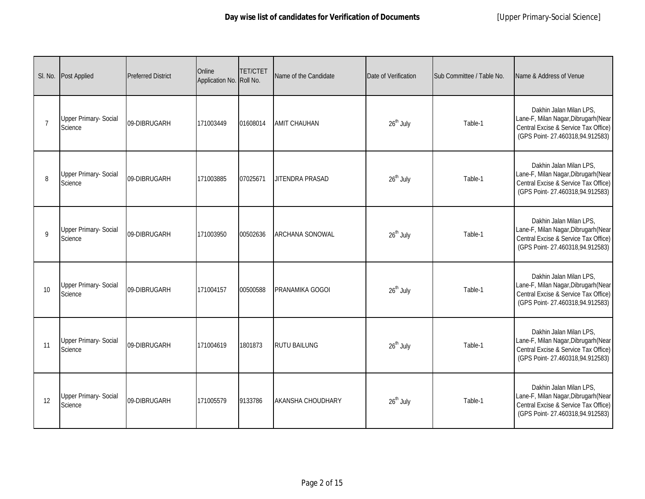|                 | SI. No. Post Applied                    | <b>Preferred District</b> | Online<br>Application No. Roll No. | <b>TET/CTET</b> | Name of the Candidate    | Date of Verification  | Sub Committee / Table No. | Name & Address of Venue                                                                                                                    |
|-----------------|-----------------------------------------|---------------------------|------------------------------------|-----------------|--------------------------|-----------------------|---------------------------|--------------------------------------------------------------------------------------------------------------------------------------------|
| $\overline{7}$  | <b>Upper Primary- Social</b><br>Science | 09-DIBRUGARH              | 171003449                          | 01608014        | <b>AMIT CHAUHAN</b>      | 26 <sup>th</sup> July | Table-1                   | Dakhin Jalan Milan LPS,<br>Lane-F, Milan Nagar, Dibrugarh (Near<br>Central Excise & Service Tax Office)<br>(GPS Point-27.460318,94.912583) |
| 8               | <b>Upper Primary- Social</b><br>Science | 09-DIBRUGARH              | 171003885                          | 07025671        | <b>JITENDRA PRASAD</b>   | 26 <sup>th</sup> July | Table-1                   | Dakhin Jalan Milan LPS,<br>Lane-F, Milan Nagar, Dibrugarh (Near<br>Central Excise & Service Tax Office)<br>(GPS Point-27.460318,94.912583) |
| $\mathsf{Q}$    | Upper Primary- Social<br>Science        | 09-DIBRUGARH              | 171003950                          | 00502636        | <b>ARCHANA SONOWAL</b>   | 26 <sup>th</sup> July | Table-1                   | Dakhin Jalan Milan LPS,<br>Lane-F, Milan Nagar, Dibrugarh (Near<br>Central Excise & Service Tax Office)<br>(GPS Point-27.460318,94.912583) |
| 10 <sup>1</sup> | <b>Upper Primary- Social</b><br>Science | 09-DIBRUGARH              | 171004157                          | 00500588        | PRANAMIKA GOGOI          | $26th$ July           | Table-1                   | Dakhin Jalan Milan LPS,<br>Lane-F, Milan Nagar, Dibrugarh (Near<br>Central Excise & Service Tax Office)<br>(GPS Point-27.460318,94.912583) |
| 11              | <b>Upper Primary- Social</b><br>Science | 09-DIBRUGARH              | 171004619                          | 1801873         | <b>RUTU BAILUNG</b>      | 26 <sup>th</sup> July | Table-1                   | Dakhin Jalan Milan LPS,<br>Lane-F, Milan Nagar, Dibrugarh (Near<br>Central Excise & Service Tax Office)<br>(GPS Point-27.460318,94.912583) |
| 12              | <b>Upper Primary- Social</b><br>Science | 09-DIBRUGARH              | 171005579                          | 9133786         | <b>AKANSHA CHOUDHARY</b> | $26th$ July           | Table-1                   | Dakhin Jalan Milan LPS,<br>Lane-F, Milan Nagar, Dibrugarh (Near<br>Central Excise & Service Tax Office)<br>(GPS Point-27.460318,94.912583) |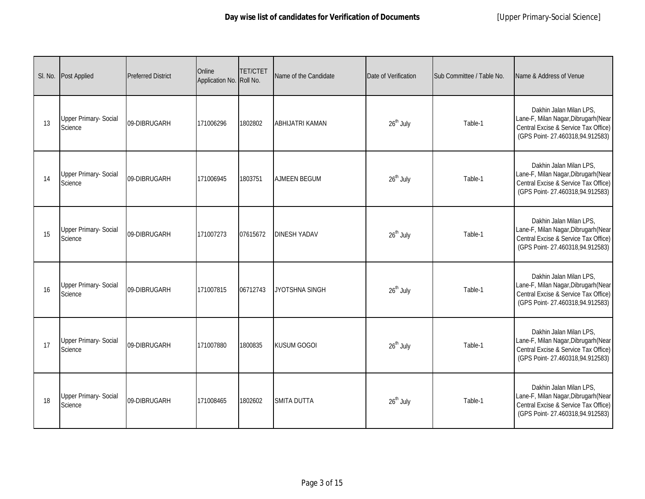|    | SI. No. Post Applied                    | <b>Preferred District</b> | Online<br>Application No. Roll No. | <b>TET/CTET</b> | Name of the Candidate  | Date of Verification  | Sub Committee / Table No. | Name & Address of Venue                                                                                                                    |
|----|-----------------------------------------|---------------------------|------------------------------------|-----------------|------------------------|-----------------------|---------------------------|--------------------------------------------------------------------------------------------------------------------------------------------|
| 13 | <b>Upper Primary- Social</b><br>Science | 09-DIBRUGARH              | 171006296                          | 1802802         | <b>ABHIJATRI KAMAN</b> | 26 <sup>th</sup> July | Table-1                   | Dakhin Jalan Milan LPS,<br>Lane-F, Milan Nagar, Dibrugarh (Near<br>Central Excise & Service Tax Office)<br>(GPS Point-27.460318,94.912583) |
| 14 | <b>Upper Primary- Social</b><br>Science | 09-DIBRUGARH              | 171006945                          | 1803751         | <b>AJMEEN BEGUM</b>    | 26 <sup>th</sup> July | Table-1                   | Dakhin Jalan Milan LPS,<br>Lane-F, Milan Nagar, Dibrugarh (Near<br>Central Excise & Service Tax Office)<br>(GPS Point-27.460318,94.912583) |
| 15 | Upper Primary- Social<br>Science        | 09-DIBRUGARH              | 171007273                          | 07615672        | <b>DINESH YADAV</b>    | 26 <sup>th</sup> July | Table-1                   | Dakhin Jalan Milan LPS,<br>Lane-F, Milan Nagar, Dibrugarh (Near<br>Central Excise & Service Tax Office)<br>(GPS Point-27.460318,94.912583) |
| 16 | <b>Upper Primary- Social</b><br>Science | 09-DIBRUGARH              | 171007815                          | 06712743        | JYOTSHNA SINGH         | $26^{\text{th}}$ July | Table-1                   | Dakhin Jalan Milan LPS,<br>Lane-F, Milan Nagar, Dibrugarh (Near<br>Central Excise & Service Tax Office)<br>(GPS Point-27.460318,94.912583) |
| 17 | Upper Primary- Social<br>Science        | 09-DIBRUGARH              | 171007880                          | 1800835         | <b>KUSUM GOGOI</b>     | $26^{\text{th}}$ July | Table-1                   | Dakhin Jalan Milan LPS,<br>Lane-F, Milan Nagar, Dibrugarh (Near<br>Central Excise & Service Tax Office)<br>(GPS Point-27.460318,94.912583) |
| 18 | <b>Upper Primary- Social</b><br>Science | 09-DIBRUGARH              | 171008465                          | 1802602         | <b>SMITA DUTTA</b>     | $26th$ July           | Table-1                   | Dakhin Jalan Milan LPS,<br>Lane-F, Milan Nagar, Dibrugarh (Near<br>Central Excise & Service Tax Office)<br>(GPS Point-27.460318,94.912583) |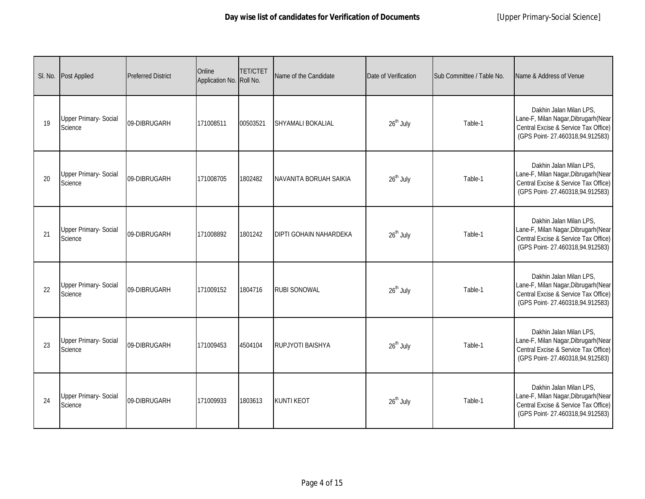|    | SI. No. Post Applied                    | <b>Preferred District</b> | Online<br>Application No. Roll No. | <b>TET/CTET</b> | Name of the Candidate         | Date of Verification  | Sub Committee / Table No. | Name & Address of Venue                                                                                                                    |
|----|-----------------------------------------|---------------------------|------------------------------------|-----------------|-------------------------------|-----------------------|---------------------------|--------------------------------------------------------------------------------------------------------------------------------------------|
| 19 | <b>Upper Primary- Social</b><br>Science | 09-DIBRUGARH              | 171008511                          | 00503521        | <b>SHYAMALI BOKALIAL</b>      | 26 <sup>th</sup> July | Table-1                   | Dakhin Jalan Milan LPS,<br>Lane-F, Milan Nagar, Dibrugarh (Near<br>Central Excise & Service Tax Office)<br>(GPS Point-27.460318,94.912583) |
| 20 | <b>Upper Primary- Social</b><br>Science | 09-DIBRUGARH              | 171008705                          | 1802482         | NAVANITA BORUAH SAIKIA        | 26 <sup>th</sup> July | Table-1                   | Dakhin Jalan Milan LPS,<br>Lane-F, Milan Nagar, Dibrugarh (Near<br>Central Excise & Service Tax Office)<br>(GPS Point-27.460318,94.912583) |
| 21 | <b>Upper Primary- Social</b><br>Science | 09-DIBRUGARH              | 171008892                          | 1801242         | <b>DIPTI GOHAIN NAHARDEKA</b> | 26 <sup>th</sup> July | Table-1                   | Dakhin Jalan Milan LPS,<br>Lane-F, Milan Nagar, Dibrugarh (Near<br>Central Excise & Service Tax Office)<br>(GPS Point-27.460318,94.912583) |
| 22 | <b>Upper Primary- Social</b><br>Science | 09-DIBRUGARH              | 171009152                          | 1804716         | <b>RUBI SONOWAL</b>           | $26^{\text{th}}$ July | Table-1                   | Dakhin Jalan Milan LPS,<br>Lane-F, Milan Nagar, Dibrugarh (Near<br>Central Excise & Service Tax Office)<br>(GPS Point-27.460318,94.912583) |
| 23 | Upper Primary- Social<br>Science        | 09-DIBRUGARH              | 171009453                          | 4504104         | <b>RUPJYOTI BAISHYA</b>       | $26^{\text{th}}$ July | Table-1                   | Dakhin Jalan Milan LPS,<br>Lane-F, Milan Nagar, Dibrugarh (Near<br>Central Excise & Service Tax Office)<br>(GPS Point-27.460318,94.912583) |
| 24 | <b>Upper Primary- Social</b><br>Science | 09-DIBRUGARH              | 171009933                          | 1803613         | <b>KUNTI KEOT</b>             | $26th$ July           | Table-1                   | Dakhin Jalan Milan LPS,<br>Lane-F, Milan Nagar, Dibrugarh (Near<br>Central Excise & Service Tax Office)<br>(GPS Point-27.460318,94.912583) |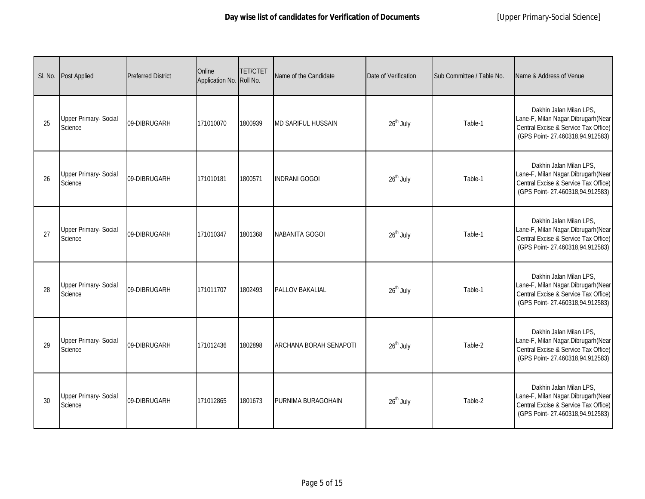|    | SI. No. Post Applied                    | <b>Preferred District</b> | Online<br>Application No. Roll No. | <b>TET/CTET</b> | Name of the Candidate         | Date of Verification  | Sub Committee / Table No. | Name & Address of Venue                                                                                                                    |
|----|-----------------------------------------|---------------------------|------------------------------------|-----------------|-------------------------------|-----------------------|---------------------------|--------------------------------------------------------------------------------------------------------------------------------------------|
| 25 | <b>Upper Primary- Social</b><br>Science | 09-DIBRUGARH              | 171010070                          | 1800939         | <b>MD SARIFUL HUSSAIN</b>     | 26 <sup>th</sup> July | Table-1                   | Dakhin Jalan Milan LPS,<br>Lane-F, Milan Nagar, Dibrugarh (Near<br>Central Excise & Service Tax Office)<br>(GPS Point-27.460318,94.912583) |
| 26 | <b>Upper Primary- Social</b><br>Science | 09-DIBRUGARH              | 171010181                          | 1800571         | <b>INDRANI GOGOI</b>          | 26 <sup>th</sup> July | Table-1                   | Dakhin Jalan Milan LPS,<br>Lane-F, Milan Nagar, Dibrugarh (Near<br>Central Excise & Service Tax Office)<br>(GPS Point-27.460318,94.912583) |
| 27 | <b>Upper Primary- Social</b><br>Science | 09-DIBRUGARH              | 171010347                          | 1801368         | NABANITA GOGOI                | 26 <sup>th</sup> July | Table-1                   | Dakhin Jalan Milan LPS,<br>Lane-F, Milan Nagar, Dibrugarh (Near<br>Central Excise & Service Tax Office)<br>(GPS Point-27.460318,94.912583) |
| 28 | <b>Upper Primary- Social</b><br>Science | 09-DIBRUGARH              | 171011707                          | 1802493         | <b>PALLOV BAKALIAL</b>        | 26 <sup>th</sup> July | Table-1                   | Dakhin Jalan Milan LPS,<br>Lane-F, Milan Nagar, Dibrugarh (Near<br>Central Excise & Service Tax Office)<br>(GPS Point-27.460318,94.912583) |
| 29 | <b>Upper Primary- Social</b><br>Science | 09-DIBRUGARH              | 171012436                          | 1802898         | <b>ARCHANA BORAH SENAPOTI</b> | 26 <sup>th</sup> July | Table-2                   | Dakhin Jalan Milan LPS,<br>Lane-F, Milan Nagar, Dibrugarh (Near<br>Central Excise & Service Tax Office)<br>(GPS Point-27.460318,94.912583) |
| 30 | <b>Upper Primary- Social</b><br>Science | 09-DIBRUGARH              | 171012865                          | 1801673         | PURNIMA BURAGOHAIN            | $26th$ July           | Table-2                   | Dakhin Jalan Milan LPS,<br>Lane-F, Milan Nagar, Dibrugarh (Near<br>Central Excise & Service Tax Office)<br>(GPS Point-27.460318,94.912583) |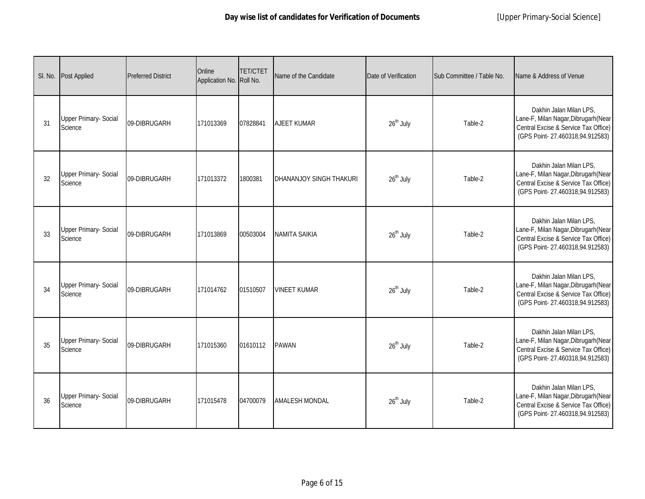|    | SI. No. Post Applied                    | <b>Preferred District</b> | Online<br>Application No. Roll No. | <b>TET/CTET</b> | Name of the Candidate   | Date of Verification  | Sub Committee / Table No. | Name & Address of Venue                                                                                                                    |
|----|-----------------------------------------|---------------------------|------------------------------------|-----------------|-------------------------|-----------------------|---------------------------|--------------------------------------------------------------------------------------------------------------------------------------------|
| 31 | <b>Upper Primary- Social</b><br>Science | 09-DIBRUGARH              | 171013369                          | 07828841        | <b>AJEET KUMAR</b>      | 26 <sup>th</sup> July | Table-2                   | Dakhin Jalan Milan LPS,<br>Lane-F, Milan Nagar, Dibrugarh (Near<br>Central Excise & Service Tax Office)<br>(GPS Point-27.460318,94.912583) |
| 32 | <b>Upper Primary- Social</b><br>Science | 09-DIBRUGARH              | 171013372                          | 1800381         | DHANANJOY SINGH THAKURI | 26 <sup>th</sup> July | Table-2                   | Dakhin Jalan Milan LPS,<br>Lane-F, Milan Nagar, Dibrugarh (Near<br>Central Excise & Service Tax Office)<br>(GPS Point-27.460318,94.912583) |
| 33 | Upper Primary- Social<br>Science        | 09-DIBRUGARH              | 171013869                          | 00503004        | <b>NAMITA SAIKIA</b>    | 26 <sup>th</sup> July | Table-2                   | Dakhin Jalan Milan LPS,<br>Lane-F, Milan Nagar, Dibrugarh (Near<br>Central Excise & Service Tax Office)<br>(GPS Point-27.460318,94.912583) |
| 34 | <b>Upper Primary- Social</b><br>Science | 09-DIBRUGARH              | 171014762                          | 01510507        | <b>VINEET KUMAR</b>     | $26th$ July           | Table-2                   | Dakhin Jalan Milan LPS,<br>Lane-F, Milan Nagar, Dibrugarh (Near<br>Central Excise & Service Tax Office)<br>(GPS Point-27.460318,94.912583) |
| 35 | <b>Upper Primary- Social</b><br>Science | 09-DIBRUGARH              | 171015360                          | 01610112        | <b>PAWAN</b>            | 26 <sup>th</sup> July | Table-2                   | Dakhin Jalan Milan LPS,<br>Lane-F, Milan Nagar, Dibrugarh (Near<br>Central Excise & Service Tax Office)<br>(GPS Point-27.460318,94.912583) |
| 36 | <b>Upper Primary- Social</b><br>Science | 09-DIBRUGARH              | 171015478                          | 04700079        | <b>AMALESH MONDAL</b>   | $26th$ July           | Table-2                   | Dakhin Jalan Milan LPS,<br>Lane-F, Milan Nagar, Dibrugarh (Near<br>Central Excise & Service Tax Office)<br>(GPS Point-27.460318,94.912583) |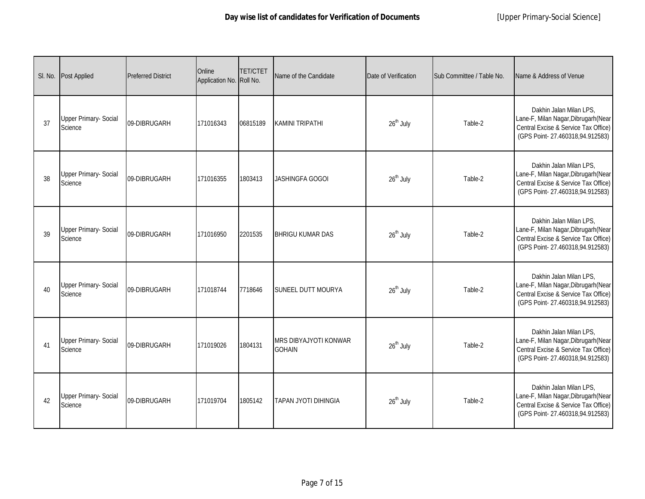|    | SI. No. Post Applied                    | <b>Preferred District</b> | Online<br>Application No. Roll No. | <b>TET/CTET</b> | Name of the Candidate                         | Date of Verification  | Sub Committee / Table No. | Name & Address of Venue                                                                                                                    |
|----|-----------------------------------------|---------------------------|------------------------------------|-----------------|-----------------------------------------------|-----------------------|---------------------------|--------------------------------------------------------------------------------------------------------------------------------------------|
| 37 | <b>Upper Primary- Social</b><br>Science | 09-DIBRUGARH              | 171016343                          | 06815189        | <b>KAMINI TRIPATHI</b>                        | 26 <sup>th</sup> July | Table-2                   | Dakhin Jalan Milan LPS.<br>Lane-F, Milan Nagar, Dibrugarh (Near<br>Central Excise & Service Tax Office)<br>(GPS Point-27.460318,94.912583) |
| 38 | <b>Upper Primary- Social</b><br>Science | 09-DIBRUGARH              | 171016355                          | 1803413         | <b>JASHINGFA GOGOI</b>                        | $26th$ July           | Table-2                   | Dakhin Jalan Milan LPS,<br>Lane-F, Milan Nagar, Dibrugarh (Near<br>Central Excise & Service Tax Office)<br>(GPS Point-27.460318,94.912583) |
| 39 | <b>Upper Primary- Social</b><br>Science | 09-DIBRUGARH              | 171016950                          | 2201535         | <b>BHRIGU KUMAR DAS</b>                       | $26^{\text{th}}$ July | Table-2                   | Dakhin Jalan Milan LPS,<br>Lane-F, Milan Nagar, Dibrugarh (Near<br>Central Excise & Service Tax Office)<br>(GPS Point-27.460318,94.912583) |
| 40 | <b>Upper Primary- Social</b><br>Science | 09-DIBRUGARH              | 171018744                          | 7718646         | <b>SUNEEL DUTT MOURYA</b>                     | 26 <sup>th</sup> July | Table-2                   | Dakhin Jalan Milan LPS,<br>Lane-F, Milan Nagar, Dibrugarh (Near<br>Central Excise & Service Tax Office)<br>(GPS Point-27.460318,94.912583) |
| 41 | <b>Upper Primary- Social</b><br>Science | 09-DIBRUGARH              | 171019026                          | 1804131         | <b>MRS DIBYAJYOTI KONWAR</b><br><b>GOHAIN</b> | 26 <sup>th</sup> July | Table-2                   | Dakhin Jalan Milan LPS,<br>Lane-F, Milan Nagar, Dibrugarh (Near<br>Central Excise & Service Tax Office)<br>(GPS Point-27.460318,94.912583) |
| 42 | <b>Upper Primary- Social</b><br>Science | 09-DIBRUGARH              | 171019704                          | 1805142         | <b>TAPAN JYOTI DIHINGIA</b>                   | 26 <sup>th</sup> July | Table-2                   | Dakhin Jalan Milan LPS,<br>Lane-F, Milan Nagar, Dibrugarh (Near<br>Central Excise & Service Tax Office)<br>(GPS Point-27.460318,94.912583) |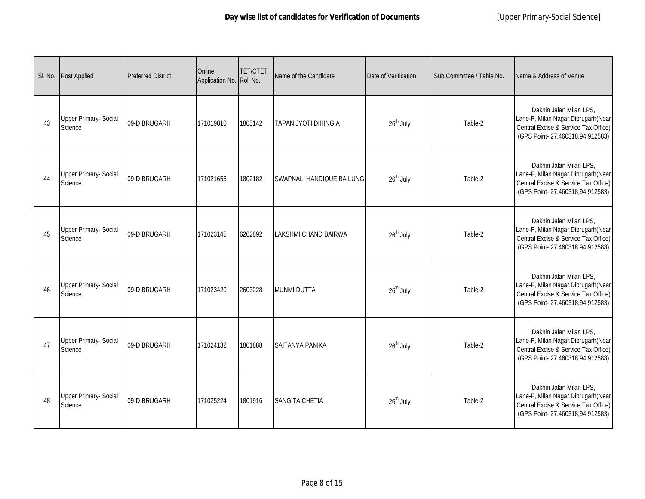|    | SI. No. Post Applied                    | <b>Preferred District</b> | Online<br>Application No. Roll No. | <b>TET/CTET</b> | Name of the Candidate       | Date of Verification  | Sub Committee / Table No. | Name & Address of Venue                                                                                                                    |
|----|-----------------------------------------|---------------------------|------------------------------------|-----------------|-----------------------------|-----------------------|---------------------------|--------------------------------------------------------------------------------------------------------------------------------------------|
| 43 | <b>Upper Primary- Social</b><br>Science | 09-DIBRUGARH              | 171019810                          | 1805142         | TAPAN JYOTI DIHINGIA        | 26 <sup>th</sup> July | Table-2                   | Dakhin Jalan Milan LPS,<br>Lane-F, Milan Nagar, Dibrugarh (Near<br>Central Excise & Service Tax Office)<br>(GPS Point-27.460318,94.912583) |
| 44 | <b>Upper Primary- Social</b><br>Science | 09-DIBRUGARH              | 171021656                          | 1802182         | SWAPNALI HANDIQUE BAILUNG   | 26 <sup>th</sup> July | Table-2                   | Dakhin Jalan Milan LPS,<br>Lane-F, Milan Nagar, Dibrugarh (Near<br>Central Excise & Service Tax Office)<br>(GPS Point-27.460318,94.912583) |
| 45 | <b>Upper Primary- Social</b><br>Science | 09-DIBRUGARH              | 171023145                          | 6202892         | <b>LAKSHMI CHAND BAIRWA</b> | 26 <sup>th</sup> July | Table-2                   | Dakhin Jalan Milan LPS.<br>Lane-F, Milan Nagar, Dibrugarh (Near<br>Central Excise & Service Tax Office)<br>(GPS Point-27.460318,94.912583) |
| 46 | <b>Upper Primary- Social</b><br>Science | 09-DIBRUGARH              | 171023420                          | 2603228         | <b>MUNMI DUTTA</b>          | 26 <sup>th</sup> July | Table-2                   | Dakhin Jalan Milan LPS,<br>Lane-F, Milan Nagar, Dibrugarh (Near<br>Central Excise & Service Tax Office)<br>(GPS Point-27.460318,94.912583) |
| 47 | Upper Primary- Social<br>Science        | 09-DIBRUGARH              | 171024132                          | 1801888         | SAITANYA PANIKA             | $26^{\text{th}}$ July | Table-2                   | Dakhin Jalan Milan LPS,<br>Lane-F, Milan Nagar, Dibrugarh (Near<br>Central Excise & Service Tax Office)<br>(GPS Point-27.460318,94.912583) |
| 48 | <b>Upper Primary- Social</b><br>Science | 09-DIBRUGARH              | 171025224                          | 1801916         | <b>SANGITA CHETIA</b>       | $26th$ July           | Table-2                   | Dakhin Jalan Milan LPS,<br>Lane-F, Milan Nagar, Dibrugarh (Near<br>Central Excise & Service Tax Office)<br>(GPS Point-27.460318,94.912583) |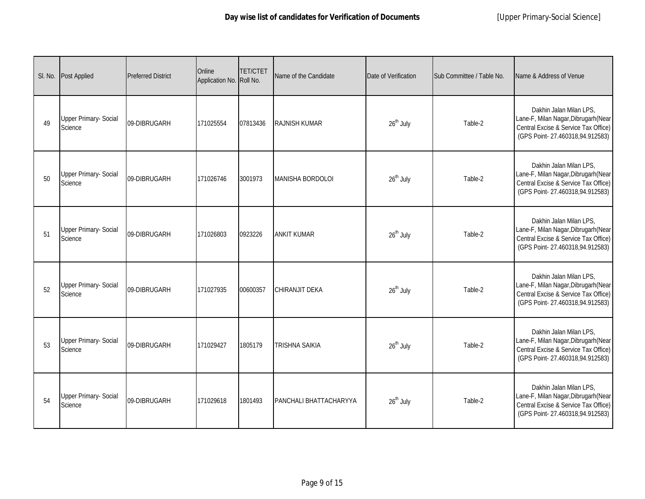|    | SI. No. Post Applied                    | <b>Preferred District</b> | Online<br>Application No. Roll No. | <b>TET/CTET</b> | Name of the Candidate         | Date of Verification  | Sub Committee / Table No. | Name & Address of Venue                                                                                                                    |
|----|-----------------------------------------|---------------------------|------------------------------------|-----------------|-------------------------------|-----------------------|---------------------------|--------------------------------------------------------------------------------------------------------------------------------------------|
| 49 | <b>Upper Primary- Social</b><br>Science | 09-DIBRUGARH              | 171025554                          | 07813436        | RAJNISH KUMAR                 | 26 <sup>th</sup> July | Table-2                   | Dakhin Jalan Milan LPS,<br>Lane-F, Milan Nagar, Dibrugarh (Near<br>Central Excise & Service Tax Office)<br>(GPS Point-27.460318,94.912583) |
| 50 | <b>Upper Primary- Social</b><br>Science | 09-DIBRUGARH              | 171026746                          | 3001973         | <b>MANISHA BORDOLOI</b>       | $26th$ July           | Table-2                   | Dakhin Jalan Milan LPS,<br>Lane-F, Milan Nagar, Dibrugarh (Near<br>Central Excise & Service Tax Office)<br>(GPS Point-27.460318,94.912583) |
| 51 | <b>Upper Primary- Social</b><br>Science | 09-DIBRUGARH              | 171026803                          | 0923226         | <b>ANKIT KUMAR</b>            | $26^{\text{th}}$ July | Table-2                   | Dakhin Jalan Milan LPS,<br>Lane-F, Milan Nagar, Dibrugarh (Near<br>Central Excise & Service Tax Office)<br>(GPS Point-27.460318,94.912583) |
| 52 | <b>Upper Primary- Social</b><br>Science | 09-DIBRUGARH              | 171027935                          | 00600357        | CHIRANJIT DEKA                | 26 <sup>th</sup> July | Table-2                   | Dakhin Jalan Milan LPS,<br>Lane-F, Milan Nagar, Dibrugarh (Near<br>Central Excise & Service Tax Office)<br>(GPS Point-27.460318,94.912583) |
| 53 | <b>Upper Primary- Social</b><br>Science | 09-DIBRUGARH              | 171029427                          | 1805179         | <b>TRISHNA SAIKIA</b>         | 26 <sup>th</sup> July | Table-2                   | Dakhin Jalan Milan LPS,<br>Lane-F, Milan Nagar, Dibrugarh (Near<br>Central Excise & Service Tax Office)<br>(GPS Point-27.460318,94.912583) |
| 54 | <b>Upper Primary- Social</b><br>Science | 09-DIBRUGARH              | 171029618                          | 1801493         | <b>PANCHALI BHATTACHARYYA</b> | 26 <sup>th</sup> July | Table-2                   | Dakhin Jalan Milan LPS,<br>Lane-F, Milan Nagar, Dibrugarh (Near<br>Central Excise & Service Tax Office)<br>(GPS Point-27.460318,94.912583) |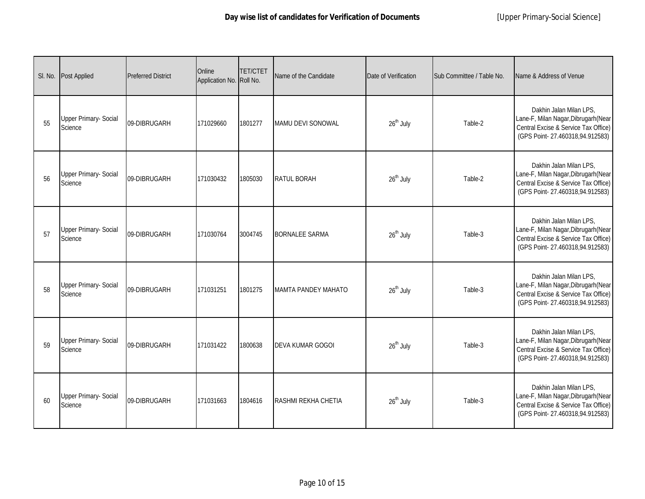| SI. No. | <b>Post Applied</b>                     | <b>Preferred District</b> | Online<br>Application No. Roll No. | <b>TET/CTET</b> | Name of the Candidate      | Date of Verification  | Sub Committee / Table No. | Name & Address of Venue                                                                                                                    |
|---------|-----------------------------------------|---------------------------|------------------------------------|-----------------|----------------------------|-----------------------|---------------------------|--------------------------------------------------------------------------------------------------------------------------------------------|
| 55      | <b>Upper Primary- Social</b><br>Science | 09-DIBRUGARH              | 171029660                          | 1801277         | MAMU DEVI SONOWAL          | 26 <sup>th</sup> July | Table-2                   | Dakhin Jalan Milan LPS,<br>Lane-F, Milan Nagar, Dibrugarh (Near<br>Central Excise & Service Tax Office)<br>(GPS Point-27.460318,94.912583) |
| 56      | <b>Upper Primary- Social</b><br>Science | 09-DIBRUGARH              | 171030432                          | 1805030         | <b>RATUL BORAH</b>         | 26 <sup>th</sup> July | Table-2                   | Dakhin Jalan Milan LPS,<br>Lane-F, Milan Nagar, Dibrugarh (Near<br>Central Excise & Service Tax Office)<br>(GPS Point-27.460318,94.912583) |
| 57      | <b>Upper Primary- Social</b><br>Science | 09-DIBRUGARH              | 171030764                          | 3004745         | <b>BORNALEE SARMA</b>      | $26th$ July           | Table-3                   | Dakhin Jalan Milan LPS,<br>Lane-F, Milan Nagar, Dibrugarh (Near<br>Central Excise & Service Tax Office)<br>(GPS Point-27.460318,94.912583) |
| 58      | <b>Upper Primary- Social</b><br>Science | 09-DIBRUGARH              | 171031251                          | 1801275         | <b>MAMTA PANDEY MAHATO</b> | $26^{\text{th}}$ July | Table-3                   | Dakhin Jalan Milan LPS,<br>Lane-F, Milan Nagar, Dibrugarh (Near<br>Central Excise & Service Tax Office)<br>(GPS Point-27.460318,94.912583) |
| 59      | <b>Upper Primary- Social</b><br>Science | 09-DIBRUGARH              | 171031422                          | 1800638         | <b>DEVA KUMAR GOGOI</b>    | 26 <sup>th</sup> July | Table-3                   | Dakhin Jalan Milan LPS,<br>Lane-F, Milan Nagar, Dibrugarh (Near<br>Central Excise & Service Tax Office)<br>(GPS Point-27.460318,94.912583) |
| 60      | <b>Upper Primary- Social</b><br>Science | 09-DIBRUGARH              | 171031663                          | 1804616         | RASHMI REKHA CHETIA        | 26 <sup>th</sup> July | Table-3                   | Dakhin Jalan Milan LPS,<br>Lane-F, Milan Nagar, Dibrugarh (Near<br>Central Excise & Service Tax Office)<br>(GPS Point-27.460318,94.912583) |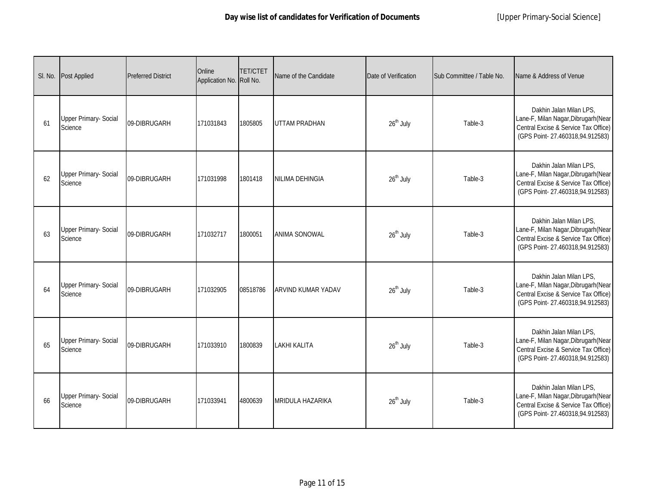|    | SI. No. Post Applied                    | <b>Preferred District</b> | Online<br>Application No. Roll No. | <b>TET/CTET</b> | Name of the Candidate   | Date of Verification  | Sub Committee / Table No. | Name & Address of Venue                                                                                                                    |
|----|-----------------------------------------|---------------------------|------------------------------------|-----------------|-------------------------|-----------------------|---------------------------|--------------------------------------------------------------------------------------------------------------------------------------------|
| 61 | <b>Upper Primary- Social</b><br>Science | 09-DIBRUGARH              | 171031843                          | 1805805         | <b>UTTAM PRADHAN</b>    | 26 <sup>th</sup> July | Table-3                   | Dakhin Jalan Milan LPS,<br>Lane-F, Milan Nagar, Dibrugarh (Near<br>Central Excise & Service Tax Office)<br>(GPS Point-27.460318,94.912583) |
| 62 | <b>Upper Primary- Social</b><br>Science | 09-DIBRUGARH              | 171031998                          | 1801418         | NILIMA DEHINGIA         | 26 <sup>th</sup> July | Table-3                   | Dakhin Jalan Milan LPS,<br>Lane-F, Milan Nagar, Dibrugarh (Near<br>Central Excise & Service Tax Office)<br>(GPS Point-27.460318,94.912583) |
| 63 | Upper Primary- Social<br>Science        | 09-DIBRUGARH              | 171032717                          | 1800051         | <b>ANIMA SONOWAL</b>    | 26 <sup>th</sup> July | Table-3                   | Dakhin Jalan Milan LPS,<br>Lane-F, Milan Nagar, Dibrugarh (Near<br>Central Excise & Service Tax Office)<br>(GPS Point-27.460318,94.912583) |
| 64 | <b>Upper Primary- Social</b><br>Science | 09-DIBRUGARH              | 171032905                          | 08518786        | ARVIND KUMAR YADAV      | $26^{\text{th}}$ July | Table-3                   | Dakhin Jalan Milan LPS,<br>Lane-F, Milan Nagar, Dibrugarh (Near<br>Central Excise & Service Tax Office)<br>(GPS Point-27.460318,94.912583) |
| 65 | Upper Primary- Social<br>Science        | 09-DIBRUGARH              | 171033910                          | 1800839         | <b>LAKHI KALITA</b>     | $26^{\text{th}}$ July | Table-3                   | Dakhin Jalan Milan LPS,<br>Lane-F, Milan Nagar, Dibrugarh (Near<br>Central Excise & Service Tax Office)<br>(GPS Point-27.460318,94.912583) |
| 66 | <b>Upper Primary- Social</b><br>Science | 09-DIBRUGARH              | 171033941                          | 4800639         | <b>MRIDULA HAZARIKA</b> | $26th$ July           | Table-3                   | Dakhin Jalan Milan LPS,<br>Lane-F, Milan Nagar, Dibrugarh (Near<br>Central Excise & Service Tax Office)<br>(GPS Point-27.460318,94.912583) |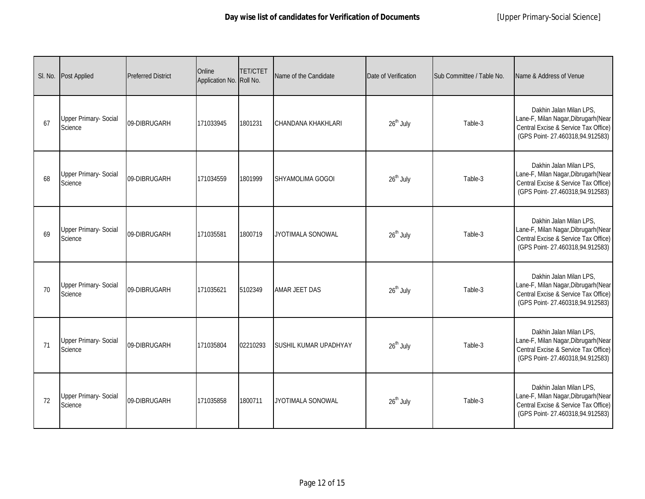|    | SI. No. Post Applied                    | <b>Preferred District</b> | Online<br>Application No. Roll No. | <b>TET/CTET</b> | Name of the Candidate     | Date of Verification  | Sub Committee / Table No. | Name & Address of Venue                                                                                                                    |
|----|-----------------------------------------|---------------------------|------------------------------------|-----------------|---------------------------|-----------------------|---------------------------|--------------------------------------------------------------------------------------------------------------------------------------------|
| 67 | <b>Upper Primary- Social</b><br>Science | 09-DIBRUGARH              | 171033945                          | 1801231         | <b>CHANDANA KHAKHLARI</b> | 26 <sup>th</sup> July | Table-3                   | Dakhin Jalan Milan LPS,<br>Lane-F, Milan Nagar, Dibrugarh (Near<br>Central Excise & Service Tax Office)<br>(GPS Point-27.460318,94.912583) |
| 68 | <b>Upper Primary- Social</b><br>Science | 09-DIBRUGARH              | 171034559                          | 1801999         | SHYAMOLIMA GOGOI          | 26 <sup>th</sup> July | Table-3                   | Dakhin Jalan Milan LPS,<br>Lane-F, Milan Nagar, Dibrugarh (Near<br>Central Excise & Service Tax Office)<br>(GPS Point-27.460318,94.912583) |
| 69 | Upper Primary- Social<br>Science        | 09-DIBRUGARH              | 171035581                          | 1800719         | JYOTIMALA SONOWAL         | 26 <sup>th</sup> July | Table-3                   | Dakhin Jalan Milan LPS,<br>Lane-F, Milan Nagar, Dibrugarh (Near<br>Central Excise & Service Tax Office)<br>(GPS Point-27.460318,94.912583) |
| 70 | <b>Upper Primary- Social</b><br>Science | 09-DIBRUGARH              | 171035621                          | 5102349         | <b>AMAR JEET DAS</b>      | $26^{\text{th}}$ July | Table-3                   | Dakhin Jalan Milan LPS,<br>Lane-F, Milan Nagar, Dibrugarh (Near<br>Central Excise & Service Tax Office)<br>(GPS Point-27.460318,94.912583) |
| 71 | Upper Primary- Social<br>Science        | 09-DIBRUGARH              | 171035804                          | 02210293        | SUSHIL KUMAR UPADHYAY     | $26^{\text{th}}$ July | Table-3                   | Dakhin Jalan Milan LPS,<br>Lane-F, Milan Nagar, Dibrugarh (Near<br>Central Excise & Service Tax Office)<br>(GPS Point-27.460318,94.912583) |
| 72 | <b>Upper Primary- Social</b><br>Science | 09-DIBRUGARH              | 171035858                          | 1800711         | <b>JYOTIMALA SONOWAL</b>  | $26th$ July           | Table-3                   | Dakhin Jalan Milan LPS,<br>Lane-F, Milan Nagar, Dibrugarh (Near<br>Central Excise & Service Tax Office)<br>(GPS Point-27.460318,94.912583) |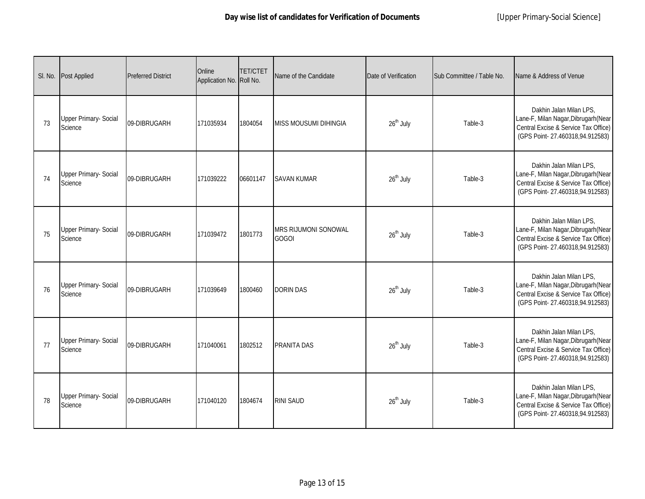|    | SI. No. Post Applied                    | <b>Preferred District</b> | Online<br>Application No. Roll No. | <b>TET/CTET</b> | Name of the Candidate                | Date of Verification  | Sub Committee / Table No. | Name & Address of Venue                                                                                                                    |
|----|-----------------------------------------|---------------------------|------------------------------------|-----------------|--------------------------------------|-----------------------|---------------------------|--------------------------------------------------------------------------------------------------------------------------------------------|
| 73 | <b>Upper Primary- Social</b><br>Science | 09-DIBRUGARH              | 171035934                          | 1804054         | <b>MISS MOUSUMI DIHINGIA</b>         | 26 <sup>th</sup> July | Table-3                   | Dakhin Jalan Milan LPS,<br>Lane-F, Milan Nagar, Dibrugarh (Near<br>Central Excise & Service Tax Office)<br>(GPS Point-27.460318,94.912583) |
| 74 | <b>Upper Primary- Social</b><br>Science | 09-DIBRUGARH              | 171039222                          | 06601147        | <b>SAVAN KUMAR</b>                   | 26 <sup>th</sup> July | Table-3                   | Dakhin Jalan Milan LPS,<br>Lane-F, Milan Nagar, Dibrugarh (Near<br>Central Excise & Service Tax Office)<br>(GPS Point-27.460318,94.912583) |
| 75 | <b>Upper Primary- Social</b><br>Science | 09-DIBRUGARH              | 171039472                          | 1801773         | MRS RIJUMONI SONOWAL<br><b>GOGOI</b> | 26 <sup>th</sup> July | Table-3                   | Dakhin Jalan Milan LPS,<br>Lane-F, Milan Nagar, Dibrugarh (Near<br>Central Excise & Service Tax Office)<br>(GPS Point-27.460318,94.912583) |
| 76 | <b>Upper Primary- Social</b><br>Science | 09-DIBRUGARH              | 171039649                          | 1800460         | <b>DORIN DAS</b>                     | $26^{\text{th}}$ July | Table-3                   | Dakhin Jalan Milan LPS,<br>Lane-F, Milan Nagar, Dibrugarh (Near<br>Central Excise & Service Tax Office)<br>(GPS Point-27.460318,94.912583) |
| 77 | Upper Primary- Social<br>Science        | 09-DIBRUGARH              | 171040061                          | 1802512         | PRANITA DAS                          | $26^{\text{th}}$ July | Table-3                   | Dakhin Jalan Milan LPS,<br>Lane-F, Milan Nagar, Dibrugarh (Near<br>Central Excise & Service Tax Office)<br>(GPS Point-27.460318,94.912583) |
| 78 | <b>Upper Primary- Social</b><br>Science | 09-DIBRUGARH              | 171040120                          | 1804674         | <b>RINI SAUD</b>                     | $26th$ July           | Table-3                   | Dakhin Jalan Milan LPS,<br>Lane-F, Milan Nagar, Dibrugarh (Near<br>Central Excise & Service Tax Office)<br>(GPS Point-27.460318,94.912583) |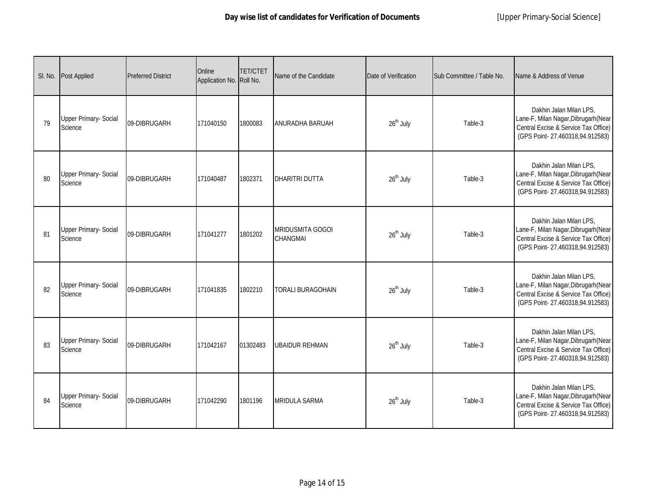|    | SI. No. Post Applied                    | <b>Preferred District</b> | Online<br>Application No. Roll No. | <b>TET/CTET</b> | Name of the Candidate                      | Date of Verification  | Sub Committee / Table No. | Name & Address of Venue                                                                                                                    |
|----|-----------------------------------------|---------------------------|------------------------------------|-----------------|--------------------------------------------|-----------------------|---------------------------|--------------------------------------------------------------------------------------------------------------------------------------------|
| 79 | <b>Upper Primary- Social</b><br>Science | 09-DIBRUGARH              | 171040150                          | 1800083         | ANURADHA BARUAH                            | 26 <sup>th</sup> July | Table-3                   | Dakhin Jalan Milan LPS,<br>Lane-F, Milan Nagar, Dibrugarh (Near<br>Central Excise & Service Tax Office)<br>(GPS Point-27.460318,94.912583) |
| 80 | <b>Upper Primary- Social</b><br>Science | 09-DIBRUGARH              | 171040487                          | 1802371         | <b>DHARITRI DUTTA</b>                      | 26 <sup>th</sup> July | Table-3                   | Dakhin Jalan Milan LPS,<br>Lane-F, Milan Nagar, Dibrugarh (Near<br>Central Excise & Service Tax Office)<br>(GPS Point-27.460318,94.912583) |
| 81 | <b>Upper Primary- Social</b><br>Science | 09-DIBRUGARH              | 171041277                          | 1801202         | <b>MRIDUSMITA GOGOI</b><br><b>CHANGMAI</b> | 26 <sup>th</sup> July | Table-3                   | Dakhin Jalan Milan LPS,<br>Lane-F, Milan Nagar, Dibrugarh (Near<br>Central Excise & Service Tax Office)<br>(GPS Point-27.460318,94.912583) |
| 82 | <b>Upper Primary- Social</b><br>Science | 09-DIBRUGARH              | 171041835                          | 1802210         | <b>TORALI BURAGOHAIN</b>                   | $26^{\text{th}}$ July | Table-3                   | Dakhin Jalan Milan LPS,<br>Lane-F, Milan Nagar, Dibrugarh (Near<br>Central Excise & Service Tax Office)<br>(GPS Point-27.460318,94.912583) |
| 83 | Upper Primary- Social<br>Science        | 09-DIBRUGARH              | 171042167                          | 01302483        | <b>UBAIDUR REHMAN</b>                      | $26^{\text{th}}$ July | Table-3                   | Dakhin Jalan Milan LPS,<br>Lane-F, Milan Nagar, Dibrugarh (Near<br>Central Excise & Service Tax Office)<br>(GPS Point-27.460318,94.912583) |
| 84 | <b>Upper Primary- Social</b><br>Science | 09-DIBRUGARH              | 171042290                          | 1801196         | <b>MRIDULA SARMA</b>                       | $26th$ July           | Table-3                   | Dakhin Jalan Milan LPS,<br>Lane-F, Milan Nagar, Dibrugarh (Near<br>Central Excise & Service Tax Office)<br>(GPS Point-27.460318,94.912583) |